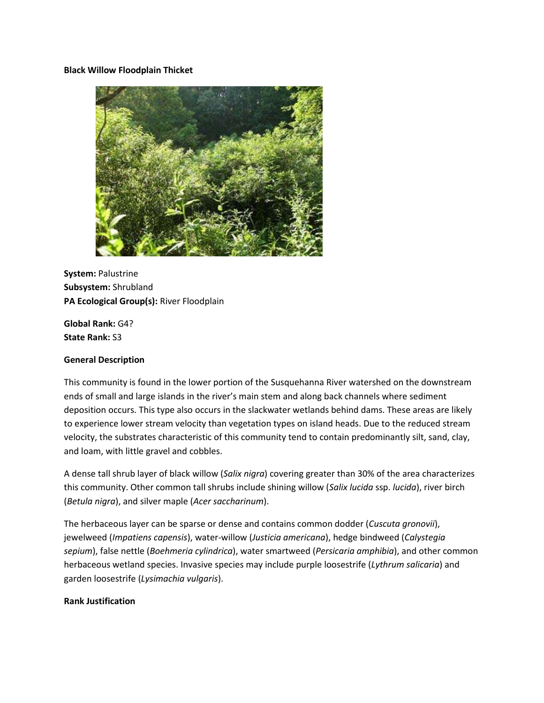#### **Black Willow Floodplain Thicket**



**System:** Palustrine **Subsystem:** Shrubland **PA Ecological Group(s):** River Floodplain

**Global Rank:** G4? **State Rank:** S3

#### **General Description**

This community is found in the lower portion of the Susquehanna River watershed on the downstream ends of small and large islands in the river's main stem and along back channels where sediment deposition occurs. This type also occurs in the slackwater wetlands behind dams. These areas are likely to experience lower stream velocity than vegetation types on island heads. Due to the reduced stream velocity, the substrates characteristic of this community tend to contain predominantly silt, sand, clay, and loam, with little gravel and cobbles.

A dense tall shrub layer of black willow (*Salix nigra*) covering greater than 30% of the area characterizes this community. Other common tall shrubs include shining willow (*Salix lucida* ssp. *lucida*), river birch (*Betula nigra*), and silver maple (*Acer saccharinum*).

The herbaceous layer can be sparse or dense and contains common dodder (*Cuscuta gronovii*), jewelweed (*Impatiens capensis*), water-willow (*Justicia americana*), hedge bindweed (*Calystegia sepium*), false nettle (*Boehmeria cylindrica*), water smartweed (*Persicaria amphibia*), and other common herbaceous wetland species. Invasive species may include purple loosestrife (*Lythrum salicaria*) and garden loosestrife (*Lysimachia vulgaris*).

## **Rank Justification**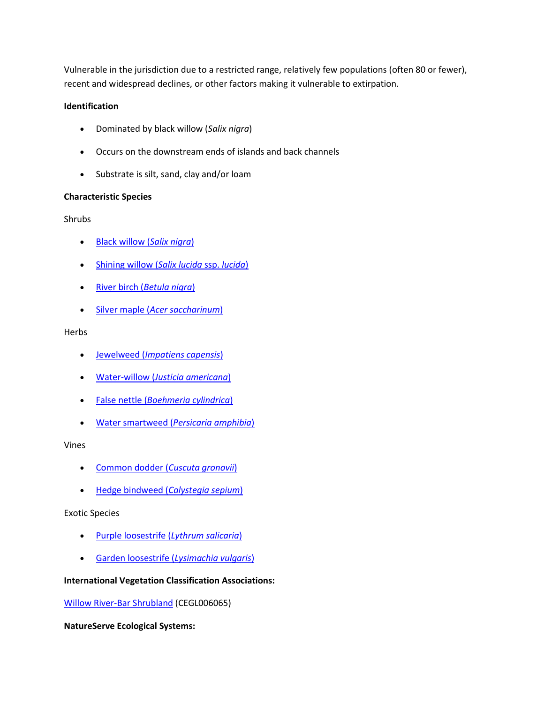Vulnerable in the jurisdiction due to a restricted range, relatively few populations (often 80 or fewer), recent and widespread declines, or other factors making it vulnerable to extirpation.

## **Identification**

- Dominated by black willow (*Salix nigra*)
- Occurs on the downstream ends of islands and back channels
- Substrate is silt, sand, clay and/or loam

# **Characteristic Species**

Shrubs

- [Black willow \(](http://www.natureserve.org/explorer/servlet/NatureServe?searchName=Salix+nigra)*Salix nigra*)
- [Shining willow \(](http://www.natureserve.org/explorer/servlet/NatureServe?searchName=Salix+lucida+ssp.+lucida)*Salix lucida* ssp. *lucida*)
- River birch (*[Betula nigra](http://www.natureserve.org/explorer/servlet/NatureServe?searchName=Betula+nigra)*)
- Silver maple (*[Acer saccharinum](http://www.natureserve.org/explorer/servlet/NatureServe?searchName=Acer+saccharinum)*)

# Herbs

- Jewelweed (*[Impatiens capensis](http://www.natureserve.org/explorer/servlet/NatureServe?searchName=Impatiens+capensis)*)
- Water-willow (*[Justicia americana](http://www.natureserve.org/explorer/servlet/NatureServe?searchName=Justicia+americana)*)
- False nettle (*[Boehmeria cylindrica](http://www.natureserve.org/explorer/servlet/NatureServe?searchName=Boehmeria+cylindrica)*)
- Water smartweed (*[Persicaria amphibia](http://www.natureserve.org/explorer/servlet/NatureServe?searchName=Polygonum+amphibium%20)*)

Vines

- [Common dodder \(](http://www.natureserve.org/explorer/servlet/NatureServe?searchName=Cuscuta+gronovii)*Cuscuta gronovii*)
- [Hedge bindweed \(](http://www.natureserve.org/explorer/servlet/NatureServe?searchName=Calystegia+sepium)*Calystegia sepium*)

Exotic Species

- [Purple loosestrife \(](http://www.natureserve.org/explorer/servlet/NatureServe?searchName=Lythrum+salicaria)*Lythrum salicaria*)
- [Garden loosestrife \(](http://www.natureserve.org/explorer/servlet/NatureServe?searchName=Lysimachia+vulgaris)*Lysimachia vulgaris*)

# **International Vegetation Classification Associations:**

[Willow River-Bar Shrubland](http://www.natureserve.org/explorer/servlet/NatureServe?searchCommunityUid=ELEMENT_GLOBAL.2.689581) (CEGL006065)

**NatureServe Ecological Systems:**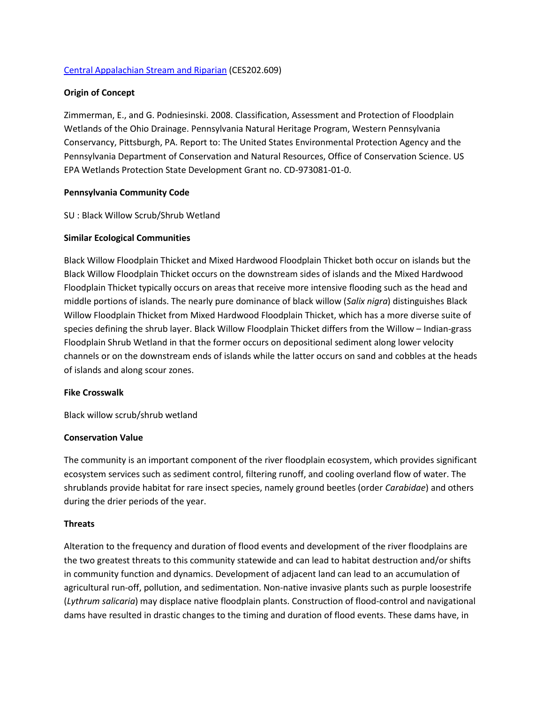### [Central Appalachian Stream and Riparian](http://www.natureserve.org/explorer/servlet/NatureServe?searchSystemUid=ELEMENT_GLOBAL.2.723000) (CES202.609)

### **Origin of Concept**

Zimmerman, E., and G. Podniesinski. 2008. Classification, Assessment and Protection of Floodplain Wetlands of the Ohio Drainage. Pennsylvania Natural Heritage Program, Western Pennsylvania Conservancy, Pittsburgh, PA. Report to: The United States Environmental Protection Agency and the Pennsylvania Department of Conservation and Natural Resources, Office of Conservation Science. US EPA Wetlands Protection State Development Grant no. CD-973081-01-0.

### **Pennsylvania Community Code**

### SU : Black Willow Scrub/Shrub Wetland

### **Similar Ecological Communities**

Black Willow Floodplain Thicket and Mixed Hardwood Floodplain Thicket both occur on islands but the Black Willow Floodplain Thicket occurs on the downstream sides of islands and the Mixed Hardwood Floodplain Thicket typically occurs on areas that receive more intensive flooding such as the head and middle portions of islands. The nearly pure dominance of black willow (*Salix nigra*) distinguishes Black Willow Floodplain Thicket from Mixed Hardwood Floodplain Thicket, which has a more diverse suite of species defining the shrub layer. Black Willow Floodplain Thicket differs from the Willow – Indian-grass Floodplain Shrub Wetland in that the former occurs on depositional sediment along lower velocity channels or on the downstream ends of islands while the latter occurs on sand and cobbles at the heads of islands and along scour zones.

#### **Fike Crosswalk**

Black willow scrub/shrub wetland

#### **Conservation Value**

The community is an important component of the river floodplain ecosystem, which provides significant ecosystem services such as sediment control, filtering runoff, and cooling overland flow of water. The shrublands provide habitat for rare insect species, namely ground beetles (order *Carabidae*) and others during the drier periods of the year.

#### **Threats**

Alteration to the frequency and duration of flood events and development of the river floodplains are the two greatest threats to this community statewide and can lead to habitat destruction and/or shifts in community function and dynamics. Development of adjacent land can lead to an accumulation of agricultural run-off, pollution, and sedimentation. Non-native invasive plants such as purple loosestrife (*Lythrum salicaria*) may displace native floodplain plants. Construction of flood-control and navigational dams have resulted in drastic changes to the timing and duration of flood events. These dams have, in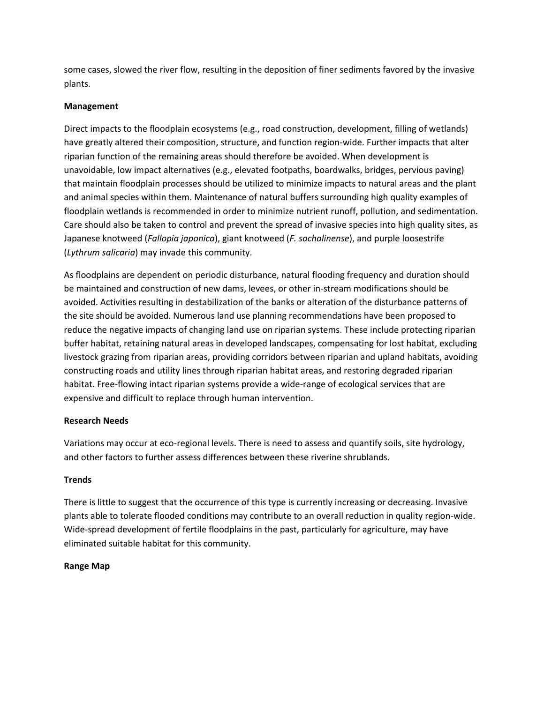some cases, slowed the river flow, resulting in the deposition of finer sediments favored by the invasive plants.

# **Management**

Direct impacts to the floodplain ecosystems (e.g., road construction, development, filling of wetlands) have greatly altered their composition, structure, and function region-wide. Further impacts that alter riparian function of the remaining areas should therefore be avoided. When development is unavoidable, low impact alternatives (e.g., elevated footpaths, boardwalks, bridges, pervious paving) that maintain floodplain processes should be utilized to minimize impacts to natural areas and the plant and animal species within them. Maintenance of natural buffers surrounding high quality examples of floodplain wetlands is recommended in order to minimize nutrient runoff, pollution, and sedimentation. Care should also be taken to control and prevent the spread of invasive species into high quality sites, as Japanese knotweed (*Fallopia japonica*), giant knotweed (*F. sachalinense*), and purple loosestrife (*Lythrum salicaria*) may invade this community.

As floodplains are dependent on periodic disturbance, natural flooding frequency and duration should be maintained and construction of new dams, levees, or other in-stream modifications should be avoided. Activities resulting in destabilization of the banks or alteration of the disturbance patterns of the site should be avoided. Numerous land use planning recommendations have been proposed to reduce the negative impacts of changing land use on riparian systems. These include protecting riparian buffer habitat, retaining natural areas in developed landscapes, compensating for lost habitat, excluding livestock grazing from riparian areas, providing corridors between riparian and upland habitats, avoiding constructing roads and utility lines through riparian habitat areas, and restoring degraded riparian habitat. Free-flowing intact riparian systems provide a wide-range of ecological services that are expensive and difficult to replace through human intervention.

# **Research Needs**

Variations may occur at eco-regional levels. There is need to assess and quantify soils, site hydrology, and other factors to further assess differences between these riverine shrublands.

# **Trends**

There is little to suggest that the occurrence of this type is currently increasing or decreasing. Invasive plants able to tolerate flooded conditions may contribute to an overall reduction in quality region-wide. Wide-spread development of fertile floodplains in the past, particularly for agriculture, may have eliminated suitable habitat for this community.

## **Range Map**